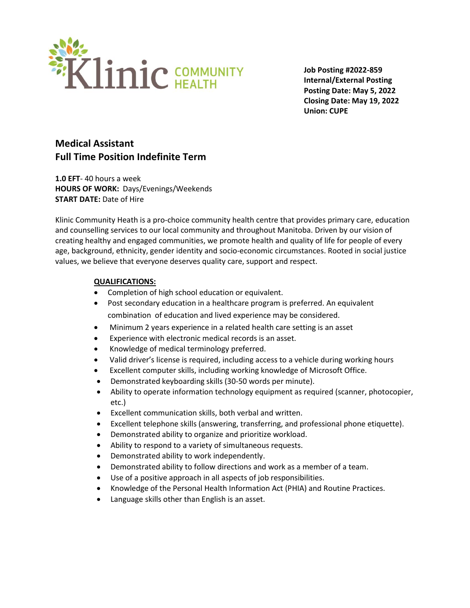

**Job Posting #2022-859 Internal/External Posting Posting Date: May 5, 2022 Closing Date: May 19, 2022 Union: CUPE**

# **Medical Assistant Full Time Position Indefinite Term**

**1.0 EFT**- 40 hours a week **HOURS OF WORK:** Days/Evenings/Weekends **START DATE:** Date of Hire

Klinic Community Heath is a pro-choice community health centre that provides primary care, education and counselling services to our local community and throughout Manitoba. Driven by our vision of creating healthy and engaged communities, we promote health and quality of life for people of every age, background, ethnicity, gender identity and socio-economic circumstances. Rooted in social justice values, we believe that everyone deserves quality care, support and respect.

#### **QUALIFICATIONS:**

- Completion of high school education or equivalent.
- Post secondary education in a healthcare program is preferred. An equivalent combination of education and lived experience may be considered.
- Minimum 2 years experience in a related health care setting is an asset
- Experience with electronic medical records is an asset.
- Knowledge of medical terminology preferred.
- Valid driver's license is required, including access to a vehicle during working hours
- Excellent computer skills, including working knowledge of Microsoft Office.
- Demonstrated keyboarding skills (30-50 words per minute).
- Ability to operate information technology equipment as required (scanner, photocopier, etc.)
- Excellent communication skills, both verbal and written.
- Excellent telephone skills (answering, transferring, and professional phone etiquette).
- Demonstrated ability to organize and prioritize workload.
- Ability to respond to a variety of simultaneous requests.
- Demonstrated ability to work independently.
- Demonstrated ability to follow directions and work as a member of a team.
- Use of a positive approach in all aspects of job responsibilities.
- Knowledge of the Personal Health Information Act (PHIA) and Routine Practices.
- Language skills other than English is an asset.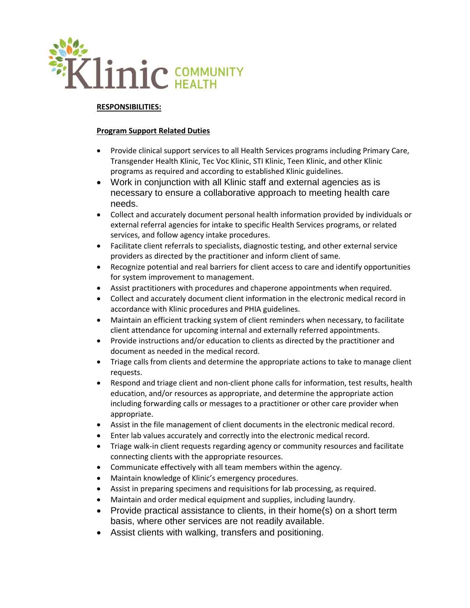

#### **RESPONSIBILITIES:**

#### **Program Support Related Duties**

- Provide clinical support services to all Health Services programs including Primary Care, Transgender Health Klinic, Tec Voc Klinic, STI Klinic, Teen Klinic, and other Klinic programs as required and according to established Klinic guidelines.
- Work in conjunction with all Klinic staff and external agencies as is necessary to ensure a collaborative approach to meeting health care needs.
- Collect and accurately document personal health information provided by individuals or external referral agencies for intake to specific Health Services programs, or related services, and follow agency intake procedures.
- Facilitate client referrals to specialists, diagnostic testing, and other external service providers as directed by the practitioner and inform client of same.
- Recognize potential and real barriers for client access to care and identify opportunities for system improvement to management.
- Assist practitioners with procedures and chaperone appointments when required.
- Collect and accurately document client information in the electronic medical record in accordance with Klinic procedures and PHIA guidelines.
- Maintain an efficient tracking system of client reminders when necessary, to facilitate client attendance for upcoming internal and externally referred appointments.
- Provide instructions and/or education to clients as directed by the practitioner and document as needed in the medical record.
- Triage calls from clients and determine the appropriate actions to take to manage client requests.
- Respond and triage client and non-client phone calls for information, test results, health education, and/or resources as appropriate, and determine the appropriate action including forwarding calls or messages to a practitioner or other care provider when appropriate.
- Assist in the file management of client documents in the electronic medical record.
- Enter lab values accurately and correctly into the electronic medical record.
- Triage walk-in client requests regarding agency or community resources and facilitate connecting clients with the appropriate resources.
- Communicate effectively with all team members within the agency.
- Maintain knowledge of Klinic's emergency procedures.
- Assist in preparing specimens and requisitions for lab processing, as required.
- Maintain and order medical equipment and supplies, including laundry.
- Provide practical assistance to clients, in their home(s) on a short term basis, where other services are not readily available.
- Assist clients with walking, transfers and positioning.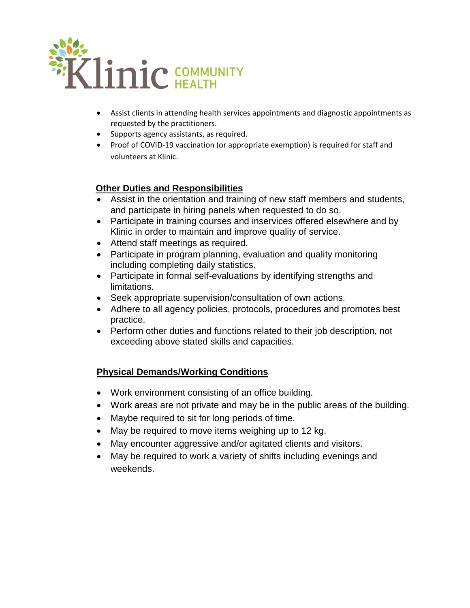

- Assist clients in attending health services appointments and diagnostic appointments as requested by the practitioners.
- Supports agency assistants, as required.
- Proof of COVID-19 vaccination (or appropriate exemption) is required for staff and volunteers at Klinic.

## **Other Duties and Responsibilities**

- Assist in the orientation and training of new staff members and students, and participate in hiring panels when requested to do so.
- Participate in training courses and inservices offered elsewhere and by Klinic in order to maintain and improve quality of service.
- Attend staff meetings as required.
- Participate in program planning, evaluation and quality monitoring including completing daily statistics.
- Participate in formal self-evaluations by identifying strengths and limitations.
- Seek appropriate supervision/consultation of own actions.
- Adhere to all agency policies, protocols, procedures and promotes best practice.
- Perform other duties and functions related to their job description, not exceeding above stated skills and capacities.

### **Physical Demands/Working Conditions**

- Work environment consisting of an office building.
- Work areas are not private and may be in the public areas of the building.
- Maybe required to sit for long periods of time.
- May be required to move items weighing up to 12 kg.
- May encounter aggressive and/or agitated clients and visitors.
- May be required to work a variety of shifts including evenings and weekends.